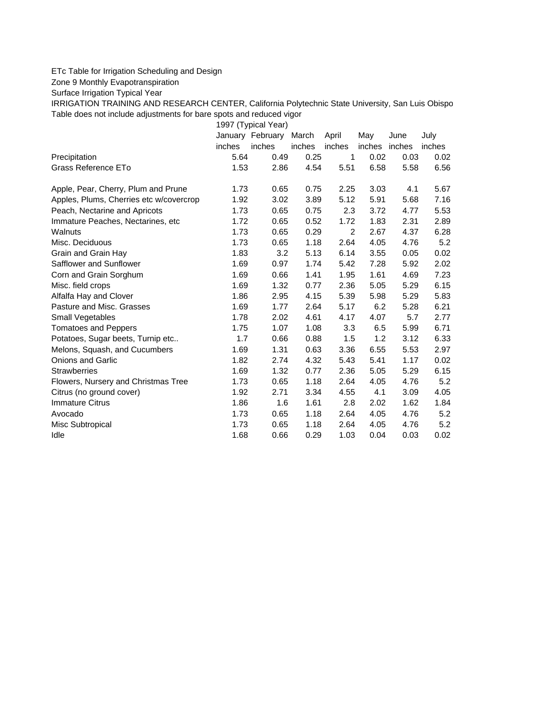## ETc Table for Irrigation Scheduling and Design

Zone 9 Monthly Evapotranspiration

Surface Irrigation Typical Year

IRRIGATION TRAINING AND RESEARCH CENTER, California Polytechnic State University, San Luis Obispo Table does not include adjustments for bare spots and reduced vigor

1997 (Typical Year) January February March April May June July inches inches inches inches inches inches inches Precipitation **5.64** 0.49 0.25 1 0.02 0.03 0.02 Grass Reference ETo **1.53** 2.86 4.54 5.51 6.58 5.58 6.56 Apple, Pear, Cherry, Plum and Prune  $1.73$  0.65 0.75 2.25 3.03 4.1 5.67 Apples, Plums, Cherries etc w/covercrop 1.92 3.02 3.89 5.12 5.91 5.68 7.16 Peach, Nectarine and Apricots 1.73 0.65 0.75 2.3 3.72 4.77 5.53 Immature Peaches, Nectarines, etc 1.72 0.65 0.52 1.72 1.83 2.31 2.89 Walnuts 1.73 0.65 0.29 2 2.67 4.37 6.28 Misc. Deciduous 1.73 0.65 1.18 2.64 4.05 4.76 5.2 Grain and Grain Hay  $1.83$   $3.2$   $5.13$   $6.14$   $3.55$   $0.05$   $0.02$ Safflower and Sunflower 1.69 0.97 1.74 5.42 7.28 5.92 2.02 Corn and Grain Sorghum 1.69 0.66 1.41 1.95 1.61 4.69 7.23 Misc. field crops 1.69 1.32 0.77 2.36 5.05 5.29 6.15 Alfalfa Hay and Clover 1.86 2.95 4.15 5.39 5.98 5.29 5.83 Pasture and Misc. Grasses 1.69 1.77 2.64 5.17 6.2 5.28 6.21 Small Vegetables 1.78 2.02 4.61 4.17 4.07 5.7 2.77 Tomatoes and Peppers 1.75 1.07 1.08 3.3 6.5 5.99 6.71 Potatoes, Sugar beets, Turnip etc.. **1.7** 0.66 0.88 1.5 1.2 3.12 6.33 Melons, Squash, and Cucumbers 1.69 1.31 0.63 3.36 6.55 5.53 2.97 Onions and Garlic 1.82 2.74 4.32 5.43 5.41 1.17 0.02 Strawberries 1.69 1.32 0.77 2.36 5.05 5.29 6.15 Flowers, Nursery and Christmas Tree  $1.73$  0.65 1.18 2.64 4.05 4.76 5.2 Citrus (no ground cover) 1.92 2.71 3.34 4.55 4.1 3.09 4.05 Immature Citrus 1.86 1.6 1.61 2.8 2.02 1.62 1.84 Avocado 1.73 0.65 1.18 2.64 4.05 4.76 5.2 Misc Subtropical 1.73 0.65 1.18 2.64 4.05 4.76 5.2 Idle 1.68 0.66 0.29 1.03 0.04 0.03 0.02